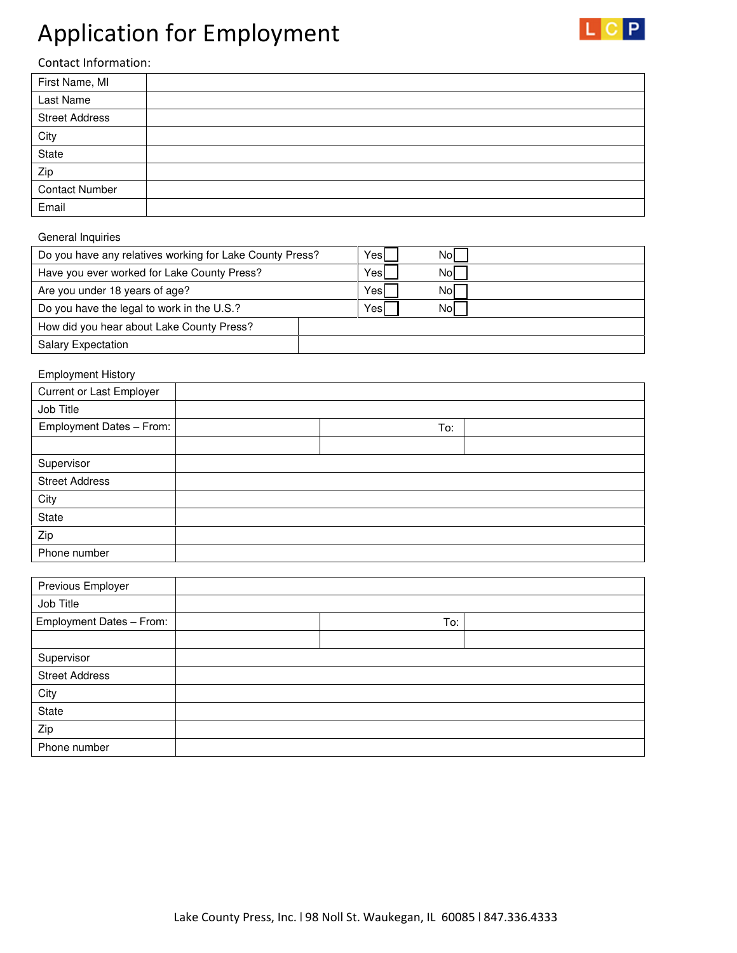# Application for Employment



## Contact Information:

| First Name, MI        |  |
|-----------------------|--|
| Last Name             |  |
| <b>Street Address</b> |  |
| City                  |  |
| State                 |  |
| Zip                   |  |
| <b>Contact Number</b> |  |
| Email                 |  |

#### General Inquiries

| Do you have any relatives working for Lake County Press? | Yesl | Nol |
|----------------------------------------------------------|------|-----|
| Have you ever worked for Lake County Press?              | Yesl | Nol |
| Are you under 18 years of age?                           | Yesl | Nol |
| Do you have the legal to work in the U.S.?               | Yesl | Nol |
| How did you hear about Lake County Press?                |      |     |
| <b>Salary Expectation</b>                                |      |     |

## Employment History

| <b>Current or Last Employer</b> |     |  |
|---------------------------------|-----|--|
| Job Title                       |     |  |
| Employment Dates - From:        | To: |  |
|                                 |     |  |
| Supervisor                      |     |  |
| <b>Street Address</b>           |     |  |
| City                            |     |  |
| State                           |     |  |
| Zip                             |     |  |
| Phone number                    |     |  |

| Previous Employer        |     |  |
|--------------------------|-----|--|
| Job Title                |     |  |
| Employment Dates - From: | To: |  |
|                          |     |  |
| Supervisor               |     |  |
| <b>Street Address</b>    |     |  |
| City                     |     |  |
| State                    |     |  |
| Zip                      |     |  |
| Phone number             |     |  |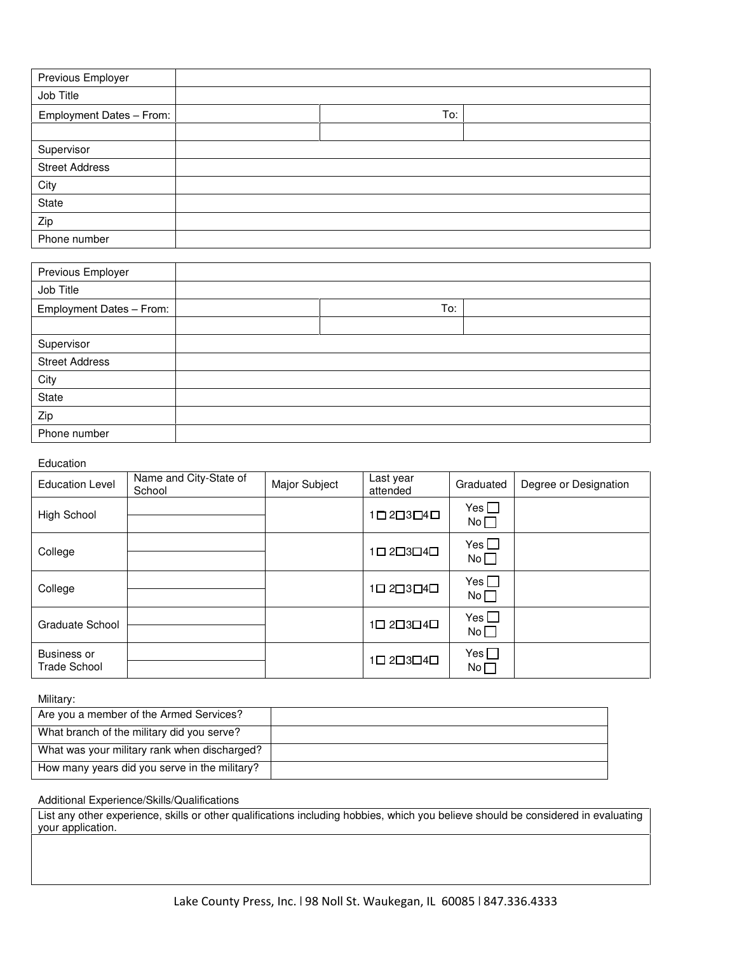| Previous Employer        |     |  |
|--------------------------|-----|--|
| Job Title                |     |  |
| Employment Dates - From: | To: |  |
|                          |     |  |
| Supervisor               |     |  |
| <b>Street Address</b>    |     |  |
| City                     |     |  |
| State                    |     |  |
| Zip                      |     |  |
| Phone number             |     |  |

| Previous Employer        |     |  |
|--------------------------|-----|--|
| Job Title                |     |  |
| Employment Dates - From: | To: |  |
|                          |     |  |
| Supervisor               |     |  |
| <b>Street Address</b>    |     |  |
| City                     |     |  |
| State                    |     |  |
| Zip                      |     |  |
| Phone number             |     |  |

#### Education

| <b>Education Level</b>                    | Name and City-State of<br>School | Major Subject | Last year<br>attended                       | Graduated                       | Degree or Designation |
|-------------------------------------------|----------------------------------|---------------|---------------------------------------------|---------------------------------|-----------------------|
| High School                               |                                  |               | $1 \square 2 \square 3 \square 4 \square$   | $Yes$ $\Box$<br>No              |                       |
| College                                   |                                  |               | $1\square$ $2\square$ $3\square$ $4\square$ | Yes $\Box$<br>No                |                       |
| College                                   |                                  |               | $1\square$ $2\square$ $3\square$ $4\square$ | Yes $\Box$<br>No                |                       |
| Graduate School                           |                                  |               | $1\square$ $2\square$ $3\square$ $4\square$ | $Yes$ $\Box$<br>No              |                       |
| <b>Business or</b><br><b>Trade School</b> |                                  |               | $1\square$ $2\square$ $3\square$ $4\square$ | $Yes$ $\Box$<br>No <sub>l</sub> |                       |

Military:

| Are you a member of the Armed Services?       |  |
|-----------------------------------------------|--|
| What branch of the military did you serve?    |  |
| What was your military rank when discharged?  |  |
| How many years did you serve in the military? |  |

## Additional Experience/Skills/Qualifications

List any other experience, skills or other qualifications including hobbies, which you believe should be considered in evaluating your application.